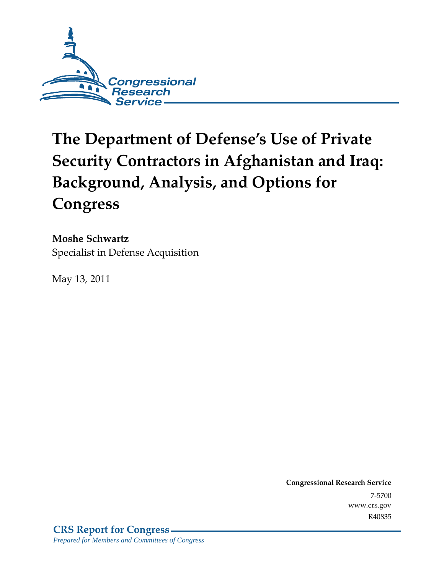

# **The Department of Defense's Use of Private Security Contractors in Afghanistan and Iraq: Background, Analysis, and Options for Congress**

**Moshe Schwartz**  Specialist in Defense Acquisition

May 13, 2011

**Congressional Research Service** 7-5700 www.crs.gov R40835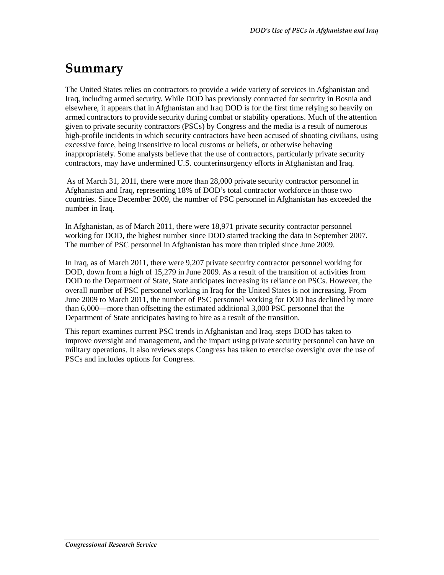## **Summary**

The United States relies on contractors to provide a wide variety of services in Afghanistan and Iraq, including armed security. While DOD has previously contracted for security in Bosnia and elsewhere, it appears that in Afghanistan and Iraq DOD is for the first time relying so heavily on armed contractors to provide security during combat or stability operations. Much of the attention given to private security contractors (PSCs) by Congress and the media is a result of numerous high-profile incidents in which security contractors have been accused of shooting civilians, using excessive force, being insensitive to local customs or beliefs, or otherwise behaving inappropriately. Some analysts believe that the use of contractors, particularly private security contractors, may have undermined U.S. counterinsurgency efforts in Afghanistan and Iraq.

As of March 31, 2011, there were more than 28,000 private security contractor personnel in Afghanistan and Iraq, representing 18% of DOD's total contractor workforce in those two countries. Since December 2009, the number of PSC personnel in Afghanistan has exceeded the number in Iraq.

In Afghanistan, as of March 2011, there were 18,971 private security contractor personnel working for DOD, the highest number since DOD started tracking the data in September 2007. The number of PSC personnel in Afghanistan has more than tripled since June 2009.

In Iraq, as of March 2011, there were 9,207 private security contractor personnel working for DOD, down from a high of 15,279 in June 2009. As a result of the transition of activities from DOD to the Department of State, State anticipates increasing its reliance on PSCs. However, the overall number of PSC personnel working in Iraq for the United States is not increasing. From June 2009 to March 2011, the number of PSC personnel working for DOD has declined by more than 6,000—more than offsetting the estimated additional 3,000 PSC personnel that the Department of State anticipates having to hire as a result of the transition.

This report examines current PSC trends in Afghanistan and Iraq, steps DOD has taken to improve oversight and management, and the impact using private security personnel can have on military operations. It also reviews steps Congress has taken to exercise oversight over the use of PSCs and includes options for Congress.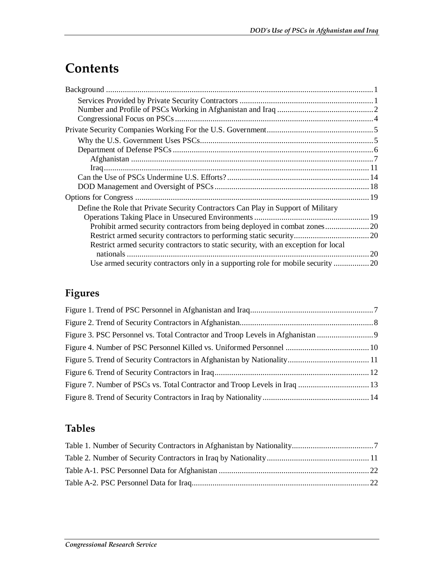## **Contents**

| Define the Role that Private Security Contractors Can Play in Support of Military   |  |
|-------------------------------------------------------------------------------------|--|
|                                                                                     |  |
| Prohibit armed security contractors from being deployed in combat zones20           |  |
|                                                                                     |  |
| Restrict armed security contractors to static security, with an exception for local |  |
|                                                                                     |  |
|                                                                                     |  |

## **Figures**

## **Tables**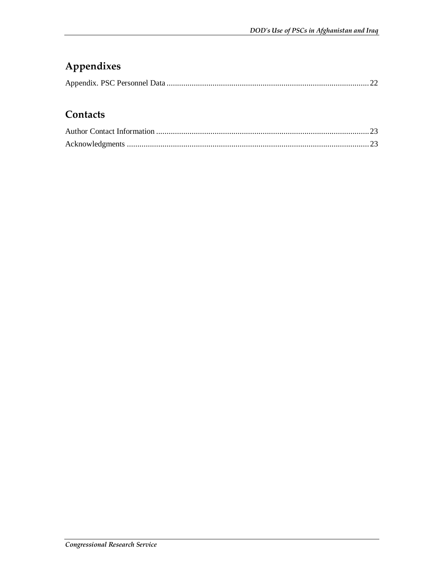## **Appendixes**

## **Contacts**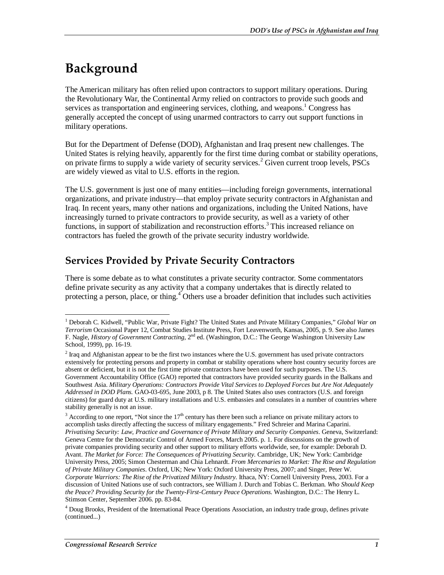## **Background**

The American military has often relied upon contractors to support military operations. During the Revolutionary War, the Continental Army relied on contractors to provide such goods and services as transportation and engineering services, clothing, and weapons.<sup>1</sup> Congress has generally accepted the concept of using unarmed contractors to carry out support functions in military operations.

But for the Department of Defense (DOD), Afghanistan and Iraq present new challenges. The United States is relying heavily, apparently for the first time during combat or stability operations, on private firms to supply a wide variety of security services.<sup>2</sup> Given current troop levels, PSCs are widely viewed as vital to U.S. efforts in the region.

The U.S. government is just one of many entities—including foreign governments, international organizations, and private industry—that employ private security contractors in Afghanistan and Iraq. In recent years, many other nations and organizations, including the United Nations, have increasingly turned to private contractors to provide security, as well as a variety of other functions, in support of stabilization and reconstruction efforts.<sup>3</sup> This increased reliance on contractors has fueled the growth of the private security industry worldwide.

### **Services Provided by Private Security Contractors**

There is some debate as to what constitutes a private security contractor. Some commentators define private security as any activity that a company undertakes that is directly related to protecting a person, place, or thing.<sup>4</sup> Others use a broader definition that includes such activities

<sup>&</sup>lt;u>.</u> <sup>1</sup> Deborah C. Kidwell, "Public War, Private Fight? The United States and Private Military Companies," *Global War on Terrorism* Occasional Paper 12, Combat Studies Institute Press, Fort Leavenworth, Kansas, 2005, p. 9. See also James F. Nagle, *History of Government Contracting*, 2nd ed. (Washington, D.C.: The George Washington University Law School, 1999), pp. 16-19.

 $2^{2}$  Iraq and Afghanistan appear to be the first two instances where the U.S. government has used private contractors extensively for protecting persons and property in combat or stability operations where host country security forces are absent or deficient, but it is not the first time private contractors have been used for such purposes. The U.S. Government Accountability Office (GAO) reported that contractors have provided security guards in the Balkans and Southwest Asia. *Military Operations: Contractors Provide Vital Services to Deployed Forces but Are Not Adequately Addressed in DOD Plans.* GAO-03-695, June 2003, p 8. The United States also uses contractors (U.S. and foreign citizens) for guard duty at U.S. military installations and U.S. embassies and consulates in a number of countries where stability generally is not an issue.

 $3$  According to one report, "Not since the  $17<sup>th</sup>$  century has there been such a reliance on private military actors to accomplish tasks directly affecting the success of military engagements." Fred Schreier and Marina Caparini. *Privatising Security: Law, Practice and Governance of Private Military and Security Companies*. Geneva, Switzerland: Geneva Centre for the Democratic Control of Armed Forces, March 2005. p. 1. For discussions on the growth of private companies providing security and other support to military efforts worldwide, see, for example: Deborah D. Avant. *The Market for Force: The Consequences of Privatizing Security*. Cambridge, UK; New York: Cambridge University Press, 2005; Simon Chesterman and Chia Lehnardt. *From Mercenaries to Market: The Rise and Regulation of Private Military Companies*. Oxford, UK; New York: Oxford University Press, 2007; and Singer, Peter W. *Corporate Warriors: The Rise of the Privatized Military Industry*. Ithaca, NY: Cornell University Press, 2003. For a discussion of United Nations use of such contractors, see William J. Durch and Tobias C. Berkman. *Who Should Keep the Peace? Providing Security for the Twenty-First-Century Peace Operations*. Washington, D.C.: The Henry L. Stimson Center, September 2006. pp. 83-84.

<sup>&</sup>lt;sup>4</sup> Doug Brooks, President of the International Peace Operations Association, an industry trade group, defines private (continued...)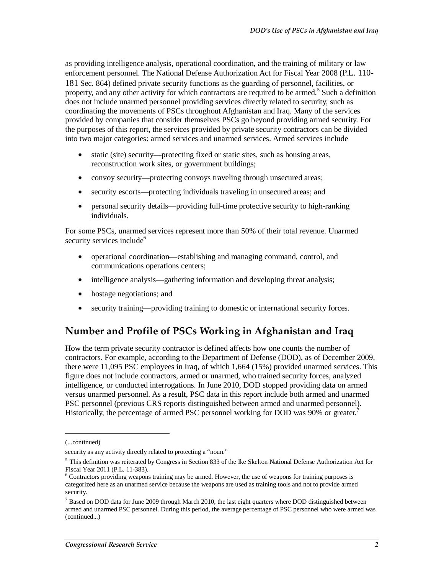as providing intelligence analysis, operational coordination, and the training of military or law enforcement personnel. The National Defense Authorization Act for Fiscal Year 2008 (P.L. 110- 181 Sec. 864) defined private security functions as the guarding of personnel, facilities, or property, and any other activity for which contractors are required to be armed.<sup>5</sup> Such a definition does not include unarmed personnel providing services directly related to security, such as coordinating the movements of PSCs throughout Afghanistan and Iraq. Many of the services provided by companies that consider themselves PSCs go beyond providing armed security. For the purposes of this report, the services provided by private security contractors can be divided into two major categories: armed services and unarmed services. Armed services include

- static (site) security—protecting fixed or static sites, such as housing areas, reconstruction work sites, or government buildings;
- convoy security—protecting convoys traveling through unsecured areas;
- security escorts—protecting individuals traveling in unsecured areas; and
- personal security details—providing full-time protective security to high-ranking individuals.

For some PSCs, unarmed services represent more than 50% of their total revenue. Unarmed security services include<sup>6</sup>

- operational coordination—establishing and managing command, control, and communications operations centers;
- intelligence analysis—gathering information and developing threat analysis;
- hostage negotiations; and
- security training—providing training to domestic or international security forces.

### **Number and Profile of PSCs Working in Afghanistan and Iraq**

How the term private security contractor is defined affects how one counts the number of contractors. For example, according to the Department of Defense (DOD), as of December 2009, there were 11,095 PSC employees in Iraq, of which 1,664 (15%) provided unarmed services. This figure does not include contractors, armed or unarmed, who trained security forces, analyzed intelligence, or conducted interrogations. In June 2010, DOD stopped providing data on armed versus unarmed personnel. As a result, PSC data in this report include both armed and unarmed PSC personnel (previous CRS reports distinguished between armed and unarmed personnel). Historically, the percentage of armed PSC personnel working for DOD was 90% or greater.<sup>7</sup>

<u>.</u>

<sup>(...</sup>continued)

security as any activity directly related to protecting a "noun."

 $<sup>5</sup>$  This definition was reiterated by Congress in Section 833 of the Ike Skelton National Defense Authorization Act for</sup> Fiscal Year 2011 (P.L. 11-383).

<sup>&</sup>lt;sup>6</sup> Contractors providing weapons training may be armed. However, the use of weapons for training purposes is categorized here as an unarmed service because the weapons are used as training tools and not to provide armed security.

 $^7$  Based on DOD data for June 2009 through March 2010, the last eight quarters where DOD distinguished between armed and unarmed PSC personnel. During this period, the average percentage of PSC personnel who were armed was (continued...)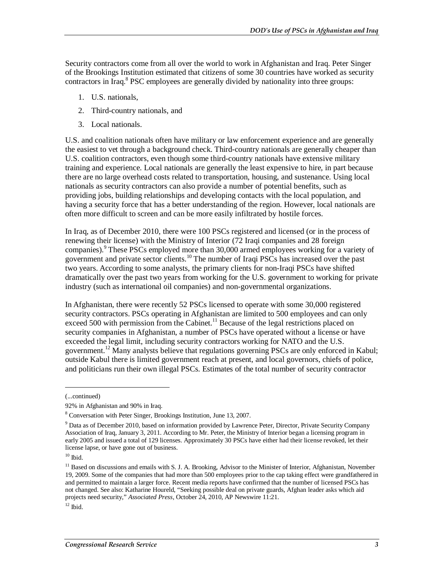Security contractors come from all over the world to work in Afghanistan and Iraq. Peter Singer of the Brookings Institution estimated that citizens of some 30 countries have worked as security contractors in Iraq.<sup>8</sup> PSC employees are generally divided by nationality into three groups:

- 1. U.S. nationals,
- 2. Third-country nationals, and
- 3. Local nationals.

U.S. and coalition nationals often have military or law enforcement experience and are generally the easiest to vet through a background check. Third-country nationals are generally cheaper than U.S. coalition contractors, even though some third-country nationals have extensive military training and experience. Local nationals are generally the least expensive to hire, in part because there are no large overhead costs related to transportation, housing, and sustenance. Using local nationals as security contractors can also provide a number of potential benefits, such as providing jobs, building relationships and developing contacts with the local population, and having a security force that has a better understanding of the region. However, local nationals are often more difficult to screen and can be more easily infiltrated by hostile forces.

In Iraq, as of December 2010, there were 100 PSCs registered and licensed (or in the process of renewing their license) with the Ministry of Interior (72 Iraqi companies and 28 foreign companies).<sup>9</sup> These PSCs employed more than 30,000 armed employees working for a variety of government and private sector clients.<sup>10</sup> The number of Iraqi PSCs has increased over the past two years. According to some analysts, the primary clients for non-Iraqi PSCs have shifted dramatically over the past two years from working for the U.S. government to working for private industry (such as international oil companies) and non-governmental organizations.

In Afghanistan, there were recently 52 PSCs licensed to operate with some 30,000 registered security contractors. PSCs operating in Afghanistan are limited to 500 employees and can only exceed 500 with permission from the Cabinet.<sup>11</sup> Because of the legal restrictions placed on security companies in Afghanistan, a number of PSCs have operated without a license or have exceeded the legal limit, including security contractors working for NATO and the U.S. government.<sup>12</sup> Many analysts believe that regulations governing PSCs are only enforced in Kabul; outside Kabul there is limited government reach at present, and local governors, chiefs of police, and politicians run their own illegal PSCs. Estimates of the total number of security contractor

1

<sup>(...</sup>continued)

<sup>92%</sup> in Afghanistan and 90% in Iraq.

<sup>8</sup> Conversation with Peter Singer, Brookings Institution, June 13, 2007.

<sup>&</sup>lt;sup>9</sup> Data as of December 2010, based on information provided by Lawrence Peter, Director, Private Security Company Association of Iraq, January 3, 2011. According to Mr. Peter, the Ministry of Interior began a licensing program in early 2005 and issued a total of 129 licenses. Approximately 30 PSCs have either had their license revoked, let their license lapse, or have gone out of business.

 $10$  Ibid.

<sup>&</sup>lt;sup>11</sup> Based on discussions and emails with S. J. A. Brooking, Advisor to the Minister of Interior, Afghanistan, November 19, 2009. Some of the companies that had more than 500 employees prior to the cap taking effect were grandfathered in and permitted to maintain a larger force. Recent media reports have confirmed that the number of licensed PSCs has not changed. See also: Katharine Houreld, "Seeking possible deal on private guards, Afghan leader asks which aid projects need security," *Associated Press*, October 24, 2010, AP Newswire 11:21.

 $12$  Ibid.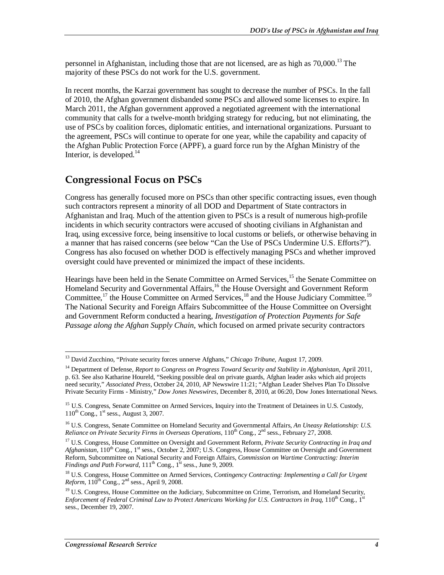personnel in Afghanistan, including those that are not licensed, are as high as  $70,000$ .<sup>13</sup> The majority of these PSCs do not work for the U.S. government.

In recent months, the Karzai government has sought to decrease the number of PSCs. In the fall of 2010, the Afghan government disbanded some PSCs and allowed some licenses to expire. In March 2011, the Afghan government approved a negotiated agreement with the international community that calls for a twelve-month bridging strategy for reducing, but not eliminating, the use of PSCs by coalition forces, diplomatic entities, and international organizations. Pursuant to the agreement, PSCs will continue to operate for one year, while the capability and capacity of the Afghan Public Protection Force (APPF), a guard force run by the Afghan Ministry of the Interior, is developed. $14$ 

### **Congressional Focus on PSCs**

Congress has generally focused more on PSCs than other specific contracting issues, even though such contractors represent a minority of all DOD and Department of State contractors in Afghanistan and Iraq. Much of the attention given to PSCs is a result of numerous high-profile incidents in which security contractors were accused of shooting civilians in Afghanistan and Iraq, using excessive force, being insensitive to local customs or beliefs, or otherwise behaving in a manner that has raised concerns (see below "Can the Use of PSCs Undermine U.S. Efforts?"). Congress has also focused on whether DOD is effectively managing PSCs and whether improved oversight could have prevented or minimized the impact of these incidents.

Hearings have been held in the Senate Committee on Armed Services,<sup>15</sup> the Senate Committee on Homeland Security and Governmental Affairs,<sup>16</sup> the House Oversight and Government Reform Committee,<sup>17</sup> the House Committee on Armed Services,<sup>18</sup> and the House Judiciary Committee.<sup>19</sup> The National Security and Foreign Affairs Subcommittee of the House Committee on Oversight and Government Reform conducted a hearing, *Investigation of Protection Payments for Safe Passage along the Afghan Supply Chain*, which focused on armed private security contractors

<sup>-</sup><sup>13</sup> David Zucchino, "Private security forces unnerve Afghans," *Chicago Tribune*, August 17, 2009.

<sup>&</sup>lt;sup>14</sup> Department of Defense, *Report to Congress on Progress Toward Security and Stability in Afghanistan*, April 2011, p. 63. See also Katharine Houreld, "Seeking possible deal on private guards, Afghan leader asks which aid projects need security," *Associated Press*, October 24, 2010, AP Newswire 11:21; "Afghan Leader Shelves Plan To Dissolve Private Security Firms - Ministry," *Dow Jones Newswires*, December 8, 2010, at 06:20, Dow Jones International News.

<sup>&</sup>lt;sup>15</sup> U.S. Congress, Senate Committee on Armed Services, Inquiry into the Treatment of Detainees in U.S. Custody,  $110^{th}$  Cong.,  $1^{st}$  sess., August 3, 2007.

<sup>16</sup> U.S. Congress, Senate Committee on Homeland Security and Governmental Affairs, *An Uneasy Relationship: U.S. Reliance on Private Security Firms in Overseas Operations*, 110<sup>th</sup> Cong., 2<sup>nd</sup> sess., February 27, 2008.

<sup>17</sup> U.S. Congress, House Committee on Oversight and Government Reform, *Private Security Contracting in Iraq and Afghanistan*, 110<sup>th</sup> Cong., 1<sup>st</sup> sess., October 2, 2007; U.S. Congress, House Committee on Oversight and Government Reform, Subcommittee on National Security and Foreign Affairs, *Commission on Wartime Contracting: Interim Findings and Path Forward*,  $111<sup>th</sup>$  Cong.,  $1<sup>st</sup>$  sess., June 9, 2009.

<sup>18</sup> U.S. Congress, House Committee on Armed Services, *Contingency Contracting: Implementing a Call for Urgent*   $Reform$ ,  $110^{th}$  Cong.,  $2^{nd}$  sess., April 9, 2008.

<sup>&</sup>lt;sup>19</sup> U.S. Congress, House Committee on the Judiciary, Subcommittee on Crime, Terrorism, and Homeland Security, *Enforcement of Federal Criminal Law to Protect Americans Working for U.S. Contractors in Iraq, 110<sup>th</sup> Cong., 1<sup>st</sup>* sess., December 19, 2007.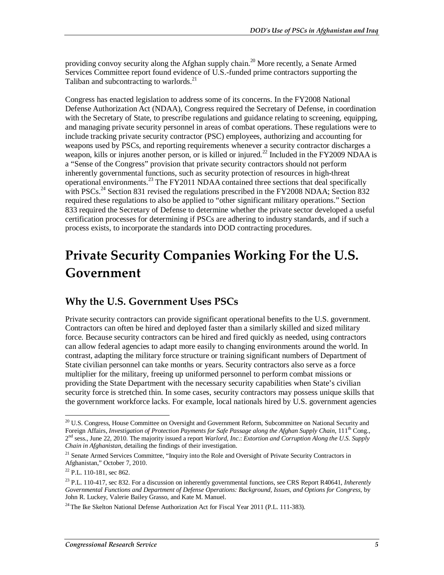providing convoy security along the Afghan supply chain.<sup>20</sup> More recently, a Senate Armed Services Committee report found evidence of U.S.-funded prime contractors supporting the Taliban and subcontracting to warlords.<sup>21</sup>

Congress has enacted legislation to address some of its concerns. In the FY2008 National Defense Authorization Act (NDAA), Congress required the Secretary of Defense, in coordination with the Secretary of State, to prescribe regulations and guidance relating to screening, equipping, and managing private security personnel in areas of combat operations. These regulations were to include tracking private security contractor (PSC) employees, authorizing and accounting for weapons used by PSCs, and reporting requirements whenever a security contractor discharges a weapon, kills or injures another person, or is killed or injured.<sup>22</sup> Included in the FY2009 NDAA is a "Sense of the Congress" provision that private security contractors should not perform inherently governmental functions, such as security protection of resources in high-threat operational environments.23 The FY2011 NDAA contained three sections that deal specifically with PSCs.<sup>24</sup> Section 831 revised the regulations prescribed in the FY2008 NDAA; Section 832 required these regulations to also be applied to "other significant military operations." Section 833 required the Secretary of Defense to determine whether the private sector developed a useful certification processes for determining if PSCs are adhering to industry standards, and if such a process exists, to incorporate the standards into DOD contracting procedures.

## **Private Security Companies Working For the U.S. Government**

### **Why the U.S. Government Uses PSCs**

Private security contractors can provide significant operational benefits to the U.S. government. Contractors can often be hired and deployed faster than a similarly skilled and sized military force. Because security contractors can be hired and fired quickly as needed, using contractors can allow federal agencies to adapt more easily to changing environments around the world. In contrast, adapting the military force structure or training significant numbers of Department of State civilian personnel can take months or years. Security contractors also serve as a force multiplier for the military, freeing up uniformed personnel to perform combat missions or providing the State Department with the necessary security capabilities when State's civilian security force is stretched thin. In some cases, security contractors may possess unique skills that the government workforce lacks. For example, local nationals hired by U.S. government agencies

<sup>-</sup><sup>20</sup> U.S. Congress, House Committee on Oversight and Government Reform, Subcommittee on National Security and Foreign Affairs, *Investigation of Protection Payments for Safe Passage along the Afghan Supply Chain*, 111<sup>th</sup> Cong., 2nd sess., June 22, 2010. The majority issued a report *Warlord, Inc*.: *Extortion and Corruption Along the U.S. Supply Chain in Afghanistan*, detailing the findings of their investigation.

<sup>&</sup>lt;sup>21</sup> Senate Armed Services Committee, "Inquiry into the Role and Oversight of Private Security Contractors in Afghanistan," October 7, 2010.

<sup>&</sup>lt;sup>22</sup> P.L. 110-181, sec 862.

<sup>23</sup> P.L. 110-417, sec 832. For a discussion on inherently governmental functions, see CRS Report R40641, *Inherently Governmental Functions and Department of Defense Operations: Background, Issues, and Options for Congress*, by John R. Luckey, Valerie Bailey Grasso, and Kate M. Manuel.

 $^{24}$  The Ike Skelton National Defense Authorization Act for Fiscal Year 2011 (P.L. 111-383).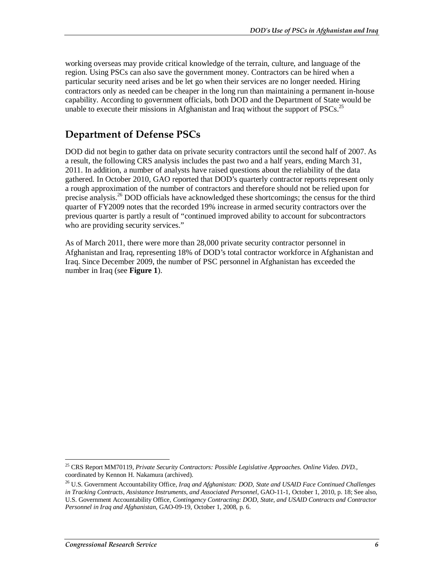working overseas may provide critical knowledge of the terrain, culture, and language of the region. Using PSCs can also save the government money. Contractors can be hired when a particular security need arises and be let go when their services are no longer needed. Hiring contractors only as needed can be cheaper in the long run than maintaining a permanent in-house capability. According to government officials, both DOD and the Department of State would be unable to execute their missions in Afghanistan and Iraq without the support of PSCs.<sup>25</sup>

### **Department of Defense PSCs**

DOD did not begin to gather data on private security contractors until the second half of 2007. As a result, the following CRS analysis includes the past two and a half years, ending March 31, 2011. In addition, a number of analysts have raised questions about the reliability of the data gathered. In October 2010, GAO reported that DOD's quarterly contractor reports represent only a rough approximation of the number of contractors and therefore should not be relied upon for precise analysis.<sup>26</sup> DOD officials have acknowledged these shortcomings; the census for the third quarter of FY2009 notes that the recorded 19% increase in armed security contractors over the previous quarter is partly a result of "continued improved ability to account for subcontractors who are providing security services."

As of March 2011, there were more than 28,000 private security contractor personnel in Afghanistan and Iraq, representing 18% of DOD's total contractor workforce in Afghanistan and Iraq. Since December 2009, the number of PSC personnel in Afghanistan has exceeded the number in Iraq (see **Figure 1**).

<sup>-</sup>25 CRS Report MM70119, *Private Security Contractors: Possible Legislative Approaches. Online Video. DVD.*, coordinated by Kennon H. Nakamura (archived).

<sup>26</sup> U.S. Government Accountability Office, *Iraq and Afghanistan: DOD, State and USAID Face Continued Challenges in Tracking Contracts, Assistance Instruments, and Associated Personnel*, GAO-11-1, October 1, 2010, p. 18; See also, U.S. Government Accountability Office, *Contingency Contracting: DOD, State, and USAID Contracts and Contractor Personnel in Iraq and Afghanistan*, GAO-09-19, October 1, 2008, p. 6.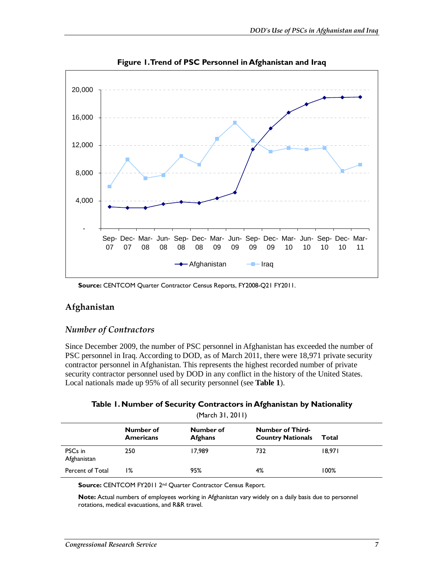

**Figure 1. Trend of PSC Personnel in Afghanistan and Iraq** 

**Source:** CENTCOM Quarter Contractor Census Reports, FY2008-Q21 FY2011.

#### **Afghanistan**

#### *Number of Contractors*

Since December 2009, the number of PSC personnel in Afghanistan has exceeded the number of PSC personnel in Iraq. According to DOD, as of March 2011, there were 18,971 private security contractor personnel in Afghanistan. This represents the highest recorded number of private security contractor personnel used by DOD in any conflict in the history of the United States. Local nationals made up 95% of all security personnel (see **Table 1**).

| (March 31, 2011)                   |                               |                             |                                                     |        |
|------------------------------------|-------------------------------|-----------------------------|-----------------------------------------------------|--------|
|                                    | Number of<br><b>Americans</b> | Number of<br><b>Afghans</b> | <b>Number of Third-</b><br><b>Country Nationals</b> | Total  |
| PSC <sub>s</sub> in<br>Afghanistan | 250                           | 17,989                      | 732                                                 | 18,971 |
| Percent of Total                   | ۱%                            | 95%                         | 4%                                                  | 100%   |

**Source:** CENTCOM FY2011 2nd Quarter Contractor Census Report.

**Note:** Actual numbers of employees working in Afghanistan vary widely on a daily basis due to personnel rotations, medical evacuations, and R&R travel.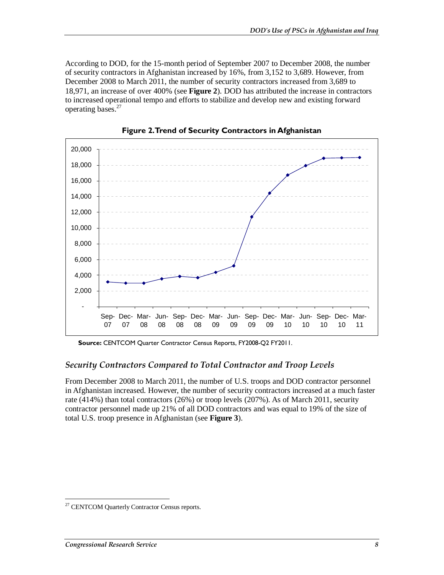According to DOD, for the 15-month period of September 2007 to December 2008, the number of security contractors in Afghanistan increased by 16%, from 3,152 to 3,689. However, from December 2008 to March 2011, the number of security contractors increased from 3,689 to 18,971, an increase of over 400% (see **Figure 2**). DOD has attributed the increase in contractors to increased operational tempo and efforts to stabilize and develop new and existing forward operating bases.<sup>27</sup>



**Figure 2. Trend of Security Contractors in Afghanistan** 

**Source:** CENTCOM Quarter Contractor Census Reports, FY2008-Q2 FY2011.

#### *Security Contractors Compared to Total Contractor and Troop Levels*

From December 2008 to March 2011, the number of U.S. troops and DOD contractor personnel in Afghanistan increased. However, the number of security contractors increased at a much faster rate (414%) than total contractors (26%) or troop levels (207%). As of March 2011, security contractor personnel made up 21% of all DOD contractors and was equal to 19% of the size of total U.S. troop presence in Afghanistan (see **Figure 3**).

<sup>-</sup><sup>27</sup> CENTCOM Quarterly Contractor Census reports.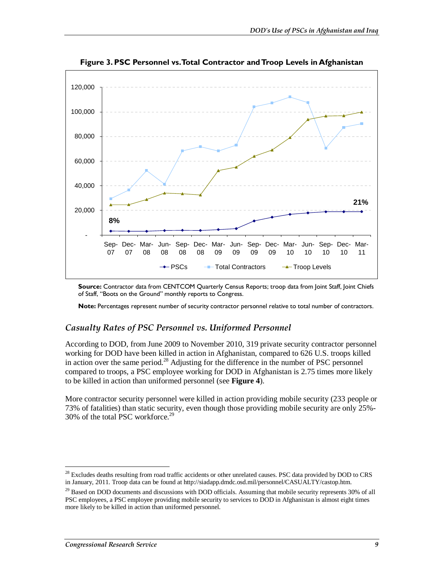

**Figure 3. PSC Personnel vs. Total Contractor and Troop Levels in Afghanistan** 

**Source:** Contractor data from CENTCOM Quarterly Census Reports; troop data from Joint Staff, Joint Chiefs of Staff, "Boots on the Ground" monthly reports to Congress.

**Note:** Percentages represent number of security contractor personnel relative to total number of contractors.

#### *Casualty Rates of PSC Personnel vs. Uniformed Personnel*

According to DOD, from June 2009 to November 2010, 319 private security contractor personnel working for DOD have been killed in action in Afghanistan, compared to 626 U.S. troops killed in action over the same period.<sup>28</sup> Adjusting for the difference in the number of PSC personnel compared to troops, a PSC employee working for DOD in Afghanistan is 2.75 times more likely to be killed in action than uniformed personnel (see **Figure 4**).

More contractor security personnel were killed in action providing mobile security (233 people or 73% of fatalities) than static security, even though those providing mobile security are only 25%- 30% of the total PSC workforce. $29$ 

<u>.</u>

<sup>&</sup>lt;sup>28</sup> Excludes deaths resulting from road traffic accidents or other unrelated causes. PSC data provided by DOD to CRS in January, 2011. Troop data can be found at http://siadapp.dmdc.osd.mil/personnel/CASUALTY/castop.htm.

<sup>&</sup>lt;sup>29</sup> Based on DOD documents and discussions with DOD officials. Assuming that mobile security represents 30% of all PSC employees, a PSC employee providing mobile security to services to DOD in Afghanistan is almost eight times more likely to be killed in action than uniformed personnel.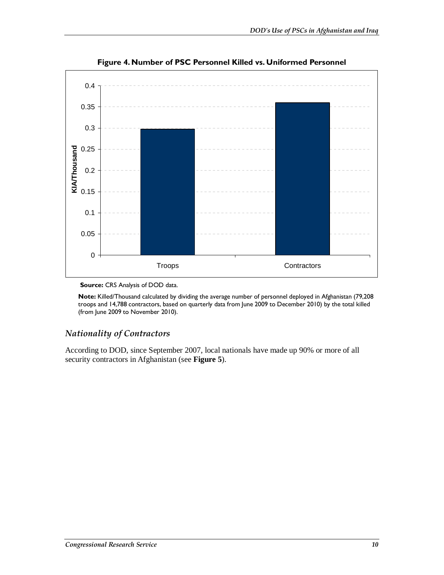

**Figure 4. Number of PSC Personnel Killed vs. Uniformed Personnel** 

**Source: CRS Analysis of DOD data.** 

**Note:** Killed/Thousand calculated by dividing the average number of personnel deployed in Afghanistan (79,208 troops and 14,788 contractors, based on quarterly data from June 2009 to December 2010) by the total killed (from June 2009 to November 2010).

#### *Nationality of Contractors*

According to DOD, since September 2007, local nationals have made up 90% or more of all security contractors in Afghanistan (see **Figure 5**).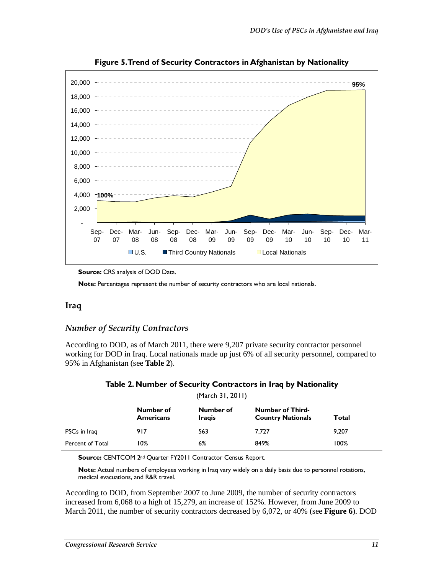

**Figure 5. Trend of Security Contractors in Afghanistan by Nationality** 

**Note:** Percentages represent the number of security contractors who are local nationals.

#### **Iraq**

#### *Number of Security Contractors*

According to DOD, as of March 2011, there were 9,207 private security contractor personnel working for DOD in Iraq. Local nationals made up just 6% of all security personnel, compared to 95% in Afghanistan (see **Table 2**).

| (March 31, 2011) |                               |                            |                                                     |       |
|------------------|-------------------------------|----------------------------|-----------------------------------------------------|-------|
|                  | Number of<br><b>Americans</b> | Number of<br><b>Iragis</b> | <b>Number of Third-</b><br><b>Country Nationals</b> | Total |
| PSCs in Iraq     | 917                           | 563                        | 7.727                                               | 9,207 |
| Percent of Total | 10%                           | 6%                         | 849%                                                | 100%  |

**Source:** CENTCOM 2nd Quarter FY2011 Contractor Census Report.

**Note:** Actual numbers of employees working in Iraq vary widely on a daily basis due to personnel rotations, medical evacuations, and R&R travel.

According to DOD, from September 2007 to June 2009, the number of security contractors increased from 6,068 to a high of 15,279, an increase of 152%. However, from June 2009 to March 2011, the number of security contractors decreased by 6,072, or 40% (see **Figure 6**). DOD

**Source:** CRS analysis of DOD Data.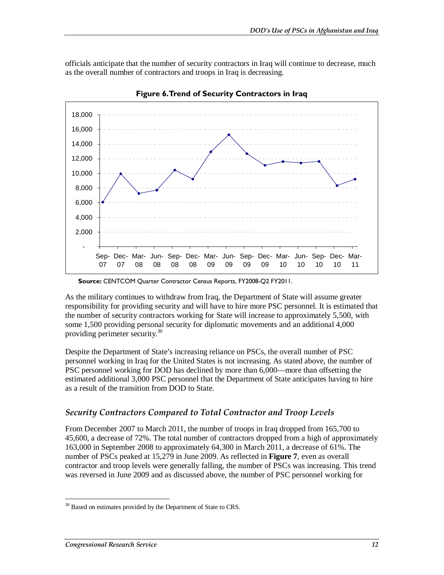officials anticipate that the number of security contractors in Iraq will continue to decrease, much as the overall number of contractors and troops in Iraq is decreasing.



**Figure 6. Trend of Security Contractors in Iraq** 

As the military continues to withdraw from Iraq, the Department of State will assume greater responsibility for providing security and will have to hire more PSC personnel. It is estimated that the number of security contractors working for State will increase to approximately 5,500, with some 1,500 providing personal security for diplomatic movements and an additional 4,000 providing perimeter security.<sup>30</sup>

Despite the Department of State's increasing reliance on PSCs, the overall number of PSC personnel working in Iraq for the United States is not increasing. As stated above, the number of PSC personnel working for DOD has declined by more than 6,000—more than offsetting the estimated additional 3,000 PSC personnel that the Department of State anticipates having to hire as a result of the transition from DOD to State.

#### *Security Contractors Compared to Total Contractor and Troop Levels*

From December 2007 to March 2011, the number of troops in Iraq dropped from 165,700 to 45,600, a decrease of 72%. The total number of contractors dropped from a high of approximately 163,000 in September 2008 to approximately 64,300 in March 2011, a decrease of 61%. The number of PSCs peaked at 15,279 in June 2009. As reflected in **Figure 7**, even as overall contractor and troop levels were generally falling, the number of PSCs was increasing. This trend was reversed in June 2009 and as discussed above, the number of PSC personnel working for

**Source:** CENTCOM Quarter Contractor Census Reports, FY2008-Q2 FY2011.

<sup>-</sup> $30$  Based on estimates provided by the Department of State to CRS.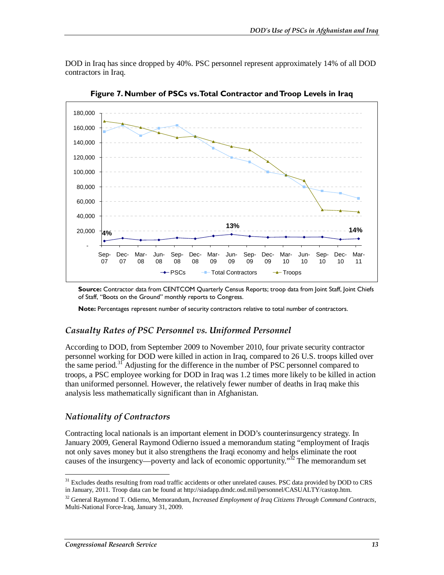DOD in Iraq has since dropped by 40%. PSC personnel represent approximately 14% of all DOD contractors in Iraq.



**Figure 7. Number of PSCs vs. Total Contractor and Troop Levels in Iraq**

**Source:** Contractor data from CENTCOM Quarterly Census Reports; troop data from Joint Staff, Joint Chiefs of Staff, "Boots on the Ground" monthly reports to Congress.

**Note:** Percentages represent number of security contractors relative to total number of contractors.

#### *Casualty Rates of PSC Personnel vs. Uniformed Personnel*

According to DOD, from September 2009 to November 2010, four private security contractor personnel working for DOD were killed in action in Iraq, compared to 26 U.S. troops killed over the same period.<sup>31</sup> Adjusting for the difference in the number of PSC personnel compared to troops, a PSC employee working for DOD in Iraq was 1.2 times more likely to be killed in action than uniformed personnel. However, the relatively fewer number of deaths in Iraq make this analysis less mathematically significant than in Afghanistan.

#### *Nationality of Contractors*

Contracting local nationals is an important element in DOD's counterinsurgency strategy. In January 2009, General Raymond Odierno issued a memorandum stating "employment of Iraqis not only saves money but it also strengthens the Iraqi economy and helps eliminate the root causes of the insurgency—poverty and lack of economic opportunity.<sup>32</sup> The memorandum set

<sup>-</sup><sup>31</sup> Excludes deaths resulting from road traffic accidents or other unrelated causes. PSC data provided by DOD to CRS in January, 2011. Troop data can be found at http://siadapp.dmdc.osd.mil/personnel/CASUALTY/castop.htm.

<sup>32</sup> General Raymond T. Odierno, Memorandum, *Increased Employment of Iraq Citizens Through Command Contracts,*  Multi-National Force-Iraq, January 31, 2009.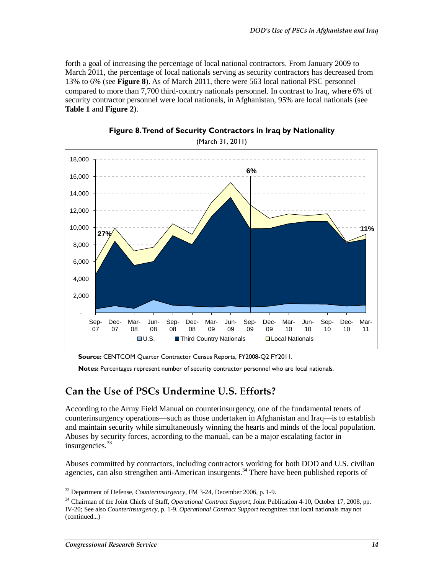forth a goal of increasing the percentage of local national contractors. From January 2009 to March 2011, the percentage of local nationals serving as security contractors has decreased from 13% to 6% (see **Figure 8**). As of March 2011, there were 563 local national PSC personnel compared to more than 7,700 third-country nationals personnel. In contrast to Iraq, where 6% of security contractor personnel were local nationals, in Afghanistan, 95% are local nationals (see **Table 1** and **Figure 2**).



**Figure 8. Trend of Security Contractors in Iraq by Nationality** 

**Source:** CENTCOM Quarter Contractor Census Reports, FY2008-Q2 FY2011.

**Notes:** Percentages represent number of security contractor personnel who are local nationals.

#### **Can the Use of PSCs Undermine U.S. Efforts?**

According to the Army Field Manual on counterinsurgency, one of the fundamental tenets of counterinsurgency operations—such as those undertaken in Afghanistan and Iraq—is to establish and maintain security while simultaneously winning the hearts and minds of the local population. Abuses by security forces, according to the manual, can be a major escalating factor in insurgencies. $33$ 

Abuses committed by contractors, including contractors working for both DOD and U.S. civilian agencies, can also strengthen anti-American insurgents.<sup>34</sup> There have been published reports of

-

<sup>33</sup> Department of Defense, *Counterinsurgency*, FM 3-24, December 2006, p. 1-9.

<sup>34</sup> Chairman of the Joint Chiefs of Staff, *Operational Contract Support*, Joint Publication 4-10, October 17, 2008, pp. IV-20; See also *Counterinsurgency*, p. 1-9. *Operational Contract Support* recognizes that local nationals may not (continued...)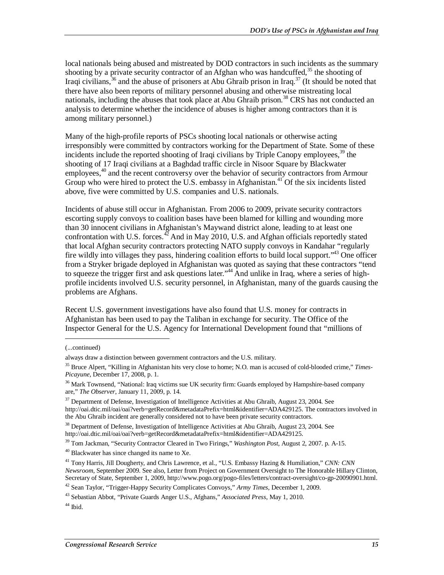local nationals being abused and mistreated by DOD contractors in such incidents as the summary shooting by a private security contractor of an Afghan who was handcuffed,<sup>35</sup> the shooting of Iraqi civilians,  $36$  and the abuse of prisoners at Abu Ghraib prison in Iraq.  $37$  (It should be noted that there have also been reports of military personnel abusing and otherwise mistreating local nationals, including the abuses that took place at Abu Ghraib prison.<sup>38</sup> CRS has not conducted an analysis to determine whether the incidence of abuses is higher among contractors than it is among military personnel.)

Many of the high-profile reports of PSCs shooting local nationals or otherwise acting irresponsibly were committed by contractors working for the Department of State. Some of these incidents include the reported shooting of Iraqi civilians by Triple Canopy employees,  $39$  the shooting of 17 Iraqi civilians at a Baghdad traffic circle in Nisoor Square by Blackwater employees,<sup>40</sup> and the recent controversy over the behavior of security contractors from Armour Group who were hired to protect the U.S. embassy in Afghanistan.<sup>41</sup> Of the six incidents listed above, five were committed by U.S. companies and U.S. nationals.

Incidents of abuse still occur in Afghanistan. From 2006 to 2009, private security contractors escorting supply convoys to coalition bases have been blamed for killing and wounding more than 30 innocent civilians in Afghanistan's Maywand district alone, leading to at least one confrontation with U.S. forces. $42$  And in May 2010, U.S. and Afghan officials reportedly stated that local Afghan security contractors protecting NATO supply convoys in Kandahar "regularly fire wildly into villages they pass, hindering coalition efforts to build local support."43 One officer from a Stryker brigade deployed in Afghanistan was quoted as saying that these contractors "tend to squeeze the trigger first and ask questions later."<sup>44</sup> And unlike in Iraq, where a series of highprofile incidents involved U.S. security personnel, in Afghanistan, many of the guards causing the problems are Afghans.

Recent U.S. government investigations have also found that U.S. money for contracts in Afghanistan has been used to pay the Taliban in exchange for security. The Office of the Inspector General for the U.S. Agency for International Development found that "millions of

<u>.</u>

<sup>38</sup> Department of Defense, Investigation of Intelligence Activities at Abu Ghraib, August 23, 2004. See http://oai.dtic.mil/oai/oai?verb=getRecord&metadataPrefix=html&identifier=ADA429125.

39 Tom Jackman, "Security Contractor Cleared in Two Firings," *Washington Post*, August 2, 2007. p. A-15.

 $40$  Blackwater has since changed its name to Xe.

42 Sean Taylor, "Trigger-Happy Security Complicates Convoys," *Army Times*, December 1, 2009.

<sup>(...</sup>continued)

always draw a distinction between government contractors and the U.S. military.

<sup>35</sup> Bruce Alpert, "Killing in Afghanistan hits very close to home; N.O. man is accused of cold-blooded crime," *Times-Picayune*, December 17, 2008, p. 1.

<sup>&</sup>lt;sup>36</sup> Mark Townsend, "National: Iraq victims sue UK security firm: Guards employed by Hampshire-based company are," *The Observer*, January 11, 2009, p. 14.

<sup>&</sup>lt;sup>37</sup> Department of Defense, Investigation of Intelligence Activities at Abu Ghraib, August 23, 2004. See http://oai.dtic.mil/oai/oai?verb=getRecord&metadataPrefix=html&identifier=ADA429125. The contractors involved in the Abu Ghraib incident are generally considered not to have been private security contractors.

<sup>41</sup> Tony Harris, Jill Dougherty, and Chris Lawrence, et al., "U.S. Embassy Hazing & Humiliation," *CNN: CNN Newsroom*, September 2009. See also, Letter from Project on Government Oversight to The Honorable Hillary Clinton, Secretary of State, September 1, 2009, http://www.pogo.org/pogo-files/letters/contract-oversight/co-gp-20090901.html.

<sup>43</sup> Sebastian Abbot, "Private Guards Anger U.S., Afghans," *Associated Press*, May 1, 2010.

 $44$  Ibid.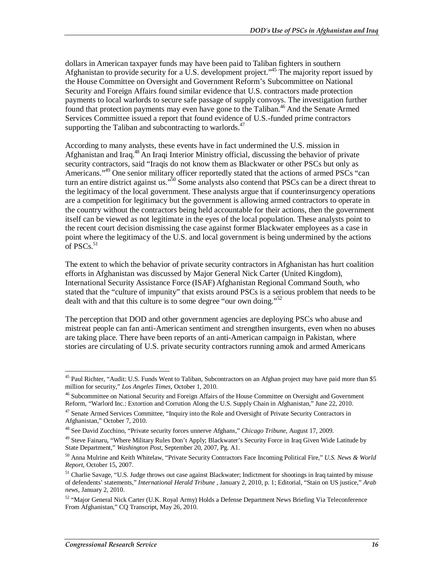dollars in American taxpayer funds may have been paid to Taliban fighters in southern Afghanistan to provide security for a U.S. development project.<sup>45</sup> The majority report issued by the House Committee on Oversight and Government Reform's Subcommittee on National Security and Foreign Affairs found similar evidence that U.S. contractors made protection payments to local warlords to secure safe passage of supply convoys. The investigation further found that protection payments may even have gone to the Taliban.<sup>46</sup> And the Senate Armed Services Committee issued a report that found evidence of U.S.-funded prime contractors supporting the Taliban and subcontracting to warlords. $47$ 

According to many analysts, these events have in fact undermined the U.S. mission in Afghanistan and Iraq.<sup>48</sup> An Iraqi Interior Ministry official, discussing the behavior of private security contractors, said "Iraqis do not know them as Blackwater or other PSCs but only as Americans."<sup>49</sup> One senior military officer reportedly stated that the actions of armed PSCs "can turn an entire district against us."<sup>50</sup> Some analysts also contend that PSCs can be a direct threat to the legitimacy of the local government. These analysts argue that if counterinsurgency operations are a competition for legitimacy but the government is allowing armed contractors to operate in the country without the contractors being held accountable for their actions, then the government itself can be viewed as not legitimate in the eyes of the local population. These analysts point to the recent court decision dismissing the case against former Blackwater employees as a case in point where the legitimacy of the U.S. and local government is being undermined by the actions of  $PSCs.<sup>51</sup>$ 

The extent to which the behavior of private security contractors in Afghanistan has hurt coalition efforts in Afghanistan was discussed by Major General Nick Carter (United Kingdom), International Security Assistance Force (ISAF) Afghanistan Regional Command South, who stated that the "culture of impunity" that exists around PSCs is a serious problem that needs to be dealt with and that this culture is to some degree "our own doing."<sup>52</sup>

The perception that DOD and other government agencies are deploying PSCs who abuse and mistreat people can fan anti-American sentiment and strengthen insurgents, even when no abuses are taking place. There have been reports of an anti-American campaign in Pakistan, where stories are circulating of U.S. private security contractors running amok and armed Americans

<sup>-</sup><sup>45</sup> Paul Richter, "Audit: U.S. Funds Went to Taliban, Subcontractors on an Afghan project may have paid more than \$5 million for security," *Los Angeles Times*, October 1, 2010.

<sup>46</sup> Subcommittee on National Security and Foreign Affairs of the House Committee on Oversight and Government Reform, "Warlord Inc.: Extortion and Corrution Along the U.S. Supply Chain in Afghanistan," June 22, 2010.

<sup>&</sup>lt;sup>47</sup> Senate Armed Services Committee, "Inquiry into the Role and Oversight of Private Security Contractors in Afghanistan," October 7, 2010.

<sup>48</sup> See David Zucchino, "Private security forces unnerve Afghans," *Chicago Tribune*, August 17, 2009.

<sup>&</sup>lt;sup>49</sup> Steve Fainaru, "Where Military Rules Don't Apply; Blackwater's Security Force in Iraq Given Wide Latitude by State Department," *Washington Post*, September 20, 2007, Pg. A1.

<sup>50</sup> Anna Mulrine and Keith Whitelaw, "Private Security Contractors Face Incoming Political Fire," *U.S. News & World Report*, October 15, 2007.

<sup>&</sup>lt;sup>51</sup> Charlie Savage, "U.S. Judge throws out case against Blackwater; Indictment for shootings in Iraq tainted by misuse of defendents' statements," *International Herald Tribune* , January 2, 2010, p. 1; Editorial, "Stain on US justice," *Arab news*, January 2, 2010.

<sup>52 &</sup>quot;Major General Nick Carter (U.K. Royal Army) Holds a Defense Department News Briefing Via Teleconference From Afghanistan," CQ Transcript, May 26, 2010.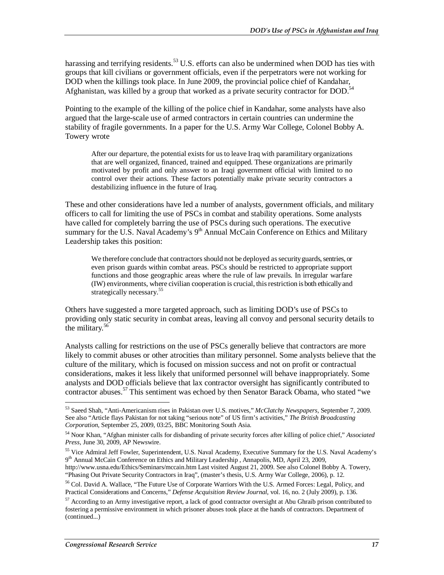harassing and terrifying residents.<sup>53</sup> U.S. efforts can also be undermined when DOD has ties with groups that kill civilians or government officials, even if the perpetrators were not working for DOD when the killings took place. In June 2009, the provincial police chief of Kandahar, Afghanistan, was killed by a group that worked as a private security contractor for DOD.<sup>54</sup>

Pointing to the example of the killing of the police chief in Kandahar, some analysts have also argued that the large-scale use of armed contractors in certain countries can undermine the stability of fragile governments. In a paper for the U.S. Army War College, Colonel Bobby A. Towery wrote

After our departure, the potential exists for us to leave Iraq with paramilitary organizations that are well organized, financed, trained and equipped. These organizations are primarily motivated by profit and only answer to an Iraqi government official with limited to no control over their actions. These factors potentially make private security contractors a destabilizing influence in the future of Iraq.

These and other considerations have led a number of analysts, government officials, and military officers to call for limiting the use of PSCs in combat and stability operations. Some analysts have called for completely barring the use of PSCs during such operations. The executive summary for the U.S. Naval Academy's  $9<sup>th</sup>$  Annual McCain Conference on Ethics and Military Leadership takes this position:

We therefore conclude that contractors should not be deployed as security guards, sentries, or even prison guards within combat areas. PSCs should be restricted to appropriate support functions and those geographic areas where the rule of law prevails. In irregular warfare (IW) environments, where civilian cooperation is crucial, this restriction is both ethically and strategically necessary.<sup>55</sup>

Others have suggested a more targeted approach, such as limiting DOD's use of PSCs to providing only static security in combat areas, leaving all convoy and personal security details to the military. $56$ 

Analysts calling for restrictions on the use of PSCs generally believe that contractors are more likely to commit abuses or other atrocities than military personnel. Some analysts believe that the culture of the military, which is focused on mission success and not on profit or contractual considerations, makes it less likely that uniformed personnel will behave inappropriately. Some analysts and DOD officials believe that lax contractor oversight has significantly contributed to contractor abuses.57 This sentiment was echoed by then Senator Barack Obama, who stated "we

-

<sup>53</sup> Saeed Shah, "Anti-Americanism rises in Pakistan over U.S. motives," *McClatchy Newspapers*, September 7, 2009. See also "Article flays Pakistan for not taking "serious note" of US firm's activities," *The British Broadcasting Corporation*, September 25, 2009, 03:25, BBC Monitoring South Asia.

<sup>54</sup> Noor Khan, "Afghan minister calls for disbanding of private security forces after killing of police chief," *Associated Press*, June 30, 2009, AP Newswire.

<sup>55</sup> Vice Admiral Jeff Fowler, Superintendent, U.S. Naval Academy, Executive Summary for the U.S. Naval Academy's 9<sup>th</sup> Annual McCain Conference on Ethics and Military Leadership, Annapolis, MD, April 23, 2009,

http://www.usna.edu/Ethics/Seminars/mccain.htm Last visited August 21, 2009. See also Colonel Bobby A. Towery, "Phasing Out Private Security Contractors in Iraq", (master's thesis, U.S. Army War College, 2006), p. 12.

<sup>&</sup>lt;sup>56</sup> Col. David A. Wallace, "The Future Use of Corporate Warriors With the U.S. Armed Forces: Legal, Policy, and Practical Considerations and Concerns," *Defense Acquisition Review Journal*, vol. 16, no. 2 (July 2009), p. 136.

 $57$  According to an Army investigative report, a lack of good contractor oversight at Abu Ghraib prison contributed to fostering a permissive environment in which prisoner abuses took place at the hands of contractors. Department of (continued...)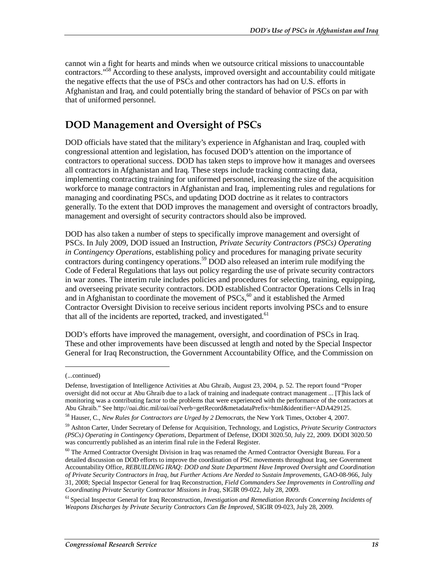cannot win a fight for hearts and minds when we outsource critical missions to unaccountable contractors."<sup>58</sup> According to these analysts, improved oversight and accountability could mitigate the negative effects that the use of PSCs and other contractors has had on U.S. efforts in Afghanistan and Iraq, and could potentially bring the standard of behavior of PSCs on par with that of uniformed personnel.

## **DOD Management and Oversight of PSCs**

DOD officials have stated that the military's experience in Afghanistan and Iraq, coupled with congressional attention and legislation, has focused DOD's attention on the importance of contractors to operational success. DOD has taken steps to improve how it manages and oversees all contractors in Afghanistan and Iraq. These steps include tracking contracting data, implementing contracting training for uniformed personnel, increasing the size of the acquisition workforce to manage contractors in Afghanistan and Iraq, implementing rules and regulations for managing and coordinating PSCs, and updating DOD doctrine as it relates to contractors generally. To the extent that DOD improves the management and oversight of contractors broadly, management and oversight of security contractors should also be improved.

DOD has also taken a number of steps to specifically improve management and oversight of PSCs. In July 2009, DOD issued an Instruction, *Private Security Contractors (PSCs) Operating in Contingency Operations*, establishing policy and procedures for managing private security contractors during contingency operations.<sup>59</sup> DOD also released an interim rule modifying the Code of Federal Regulations that lays out policy regarding the use of private security contractors in war zones. The interim rule includes policies and procedures for selecting, training, equipping, and overseeing private security contractors. DOD established Contractor Operations Cells in Iraq and in Afghanistan to coordinate the movement of  $PSCs$ ,  $60$  and it established the Armed Contractor Oversight Division to receive serious incident reports involving PSCs and to ensure that all of the incidents are reported, tracked, and investigated.<sup>61</sup>

DOD's efforts have improved the management, oversight, and coordination of PSCs in Iraq. These and other improvements have been discussed at length and noted by the Special Inspector General for Iraq Reconstruction, the Government Accountability Office, and the Commission on

1

<sup>(...</sup>continued)

Defense, Investigation of Intelligence Activities at Abu Ghraib, August 23, 2004, p. 52. The report found "Proper oversight did not occur at Abu Ghraib due to a lack of training and inadequate contract management ... [T]his lack of monitoring was a contributing factor to the problems that were experienced with the performance of the contractors at Abu Ghraib." See http://oai.dtic.mil/oai/oai?verb=getRecord&metadataPrefix=html&identifier=ADA429125.

<sup>58</sup> Hauser, C., *New Rules for Contractors are Urged by 2 Democrats*, the New York Times, October 4, 2007.

<sup>59</sup> Ashton Carter, Under Secretary of Defense for Acquisition, Technology, and Logistics, *Private Security Contractors (PSCs) Operating in Contingency Operations*, Department of Defense, DODI 3020.50, July 22, 2009. DODI 3020.50 was concurrently published as an interim final rule in the Federal Register.

<sup>&</sup>lt;sup>60</sup> The Armed Contractor Oversight Division in Iraq was renamed the Armed Contractor Oversight Bureau. For a detailed discussion on DOD efforts to improve the coordination of PSC movements throughout Iraq, see Government Accountability Office, *REBUILDING IRAQ: DOD and State Department Have Improved Oversight and Coordination of Private Security Contractors in Iraq, but Further Actions Are Needed to Sustain Improvements*, GAO-08-966, July 31, 2008; Special Inspector General for Iraq Reconstruction, *Field Commanders See Improvements in Controlling and Coordinating Private Security Contractor Missions in Iraq*, SIGIR 09-022, July 28, 2009.

<sup>61</sup> Special Inspector General for Iraq Reconstruction*, Investigation and Remediation Records Concerning Incidents of Weapons Discharges by Private Security Contractors Can Be Improved*, SIGIR 09-023, July 28, 2009.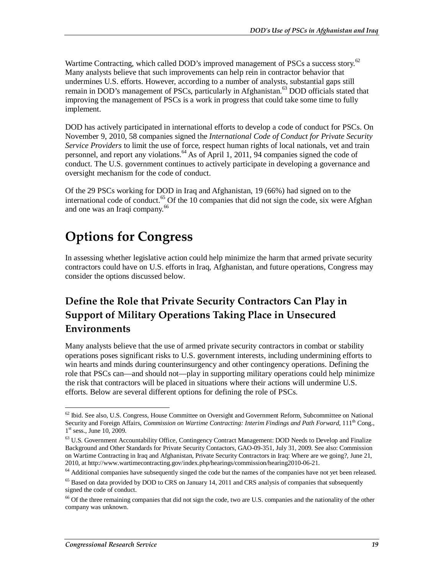Wartime Contracting, which called DOD's improved management of PSCs a success story.<sup>62</sup> Many analysts believe that such improvements can help rein in contractor behavior that undermines U.S. efforts. However, according to a number of analysts, substantial gaps still remain in DOD's management of PSCs, particularly in Afghanistan.<sup>63</sup> DOD officials stated that improving the management of PSCs is a work in progress that could take some time to fully implement.

DOD has actively participated in international efforts to develop a code of conduct for PSCs. On November 9, 2010, 58 companies signed the *International Code of Conduct for Private Security Service Providers* to limit the use of force, respect human rights of local nationals, vet and train personnel, and report any violations.<sup>64</sup> As of April 1, 2011, 94 companies signed the code of conduct. The U.S. government continues to actively participate in developing a governance and oversight mechanism for the code of conduct.

Of the 29 PSCs working for DOD in Iraq and Afghanistan, 19 (66%) had signed on to the international code of conduct.<sup>65</sup> Of the 10 companies that did not sign the code, six were Afghan and one was an Iraqi company.<sup>66</sup>

## **Options for Congress**

In assessing whether legislative action could help minimize the harm that armed private security contractors could have on U.S. efforts in Iraq, Afghanistan, and future operations, Congress may consider the options discussed below.

## **Define the Role that Private Security Contractors Can Play in Support of Military Operations Taking Place in Unsecured Environments**

Many analysts believe that the use of armed private security contractors in combat or stability operations poses significant risks to U.S. government interests, including undermining efforts to win hearts and minds during counterinsurgency and other contingency operations. Defining the role that PSCs can—and should not—play in supporting military operations could help minimize the risk that contractors will be placed in situations where their actions will undermine U.S. efforts. Below are several different options for defining the role of PSCs.

<sup>&</sup>lt;u>.</u> <sup>62</sup> Ibid. See also, U.S. Congress, House Committee on Oversight and Government Reform, Subcommittee on National Security and Foreign Affairs, *Commission on Wartime Contracting: Interim Findings and Path Forward*, 111<sup>th</sup> Cong.,  $1<sup>st</sup>$  sess., June 10, 2009.

<sup>&</sup>lt;sup>63</sup> U.S. Government Accountability Office, Contingency Contract Management: DOD Needs to Develop and Finalize Background and Other Standards for Private Security Contactors, GAO-09-351, July 31, 2009. See also: Commission on Wartime Contracting in Iraq and Afghanistan, Private Security Contractors in Iraq: Where are we going?, June 21, 2010, at http://www.wartimecontracting.gov/index.php/hearings/commission/hearing2010-06-21.

 $64$  Additional companies have subsequently singed the code but the names of the companies have not yet been released.

<sup>&</sup>lt;sup>65</sup> Based on data provided by DOD to CRS on January 14, 2011 and CRS analysis of companies that subsequently signed the code of conduct.

<sup>&</sup>lt;sup>66</sup> Of the three remaining companies that did not sign the code, two are U.S. companies and the nationality of the other company was unknown.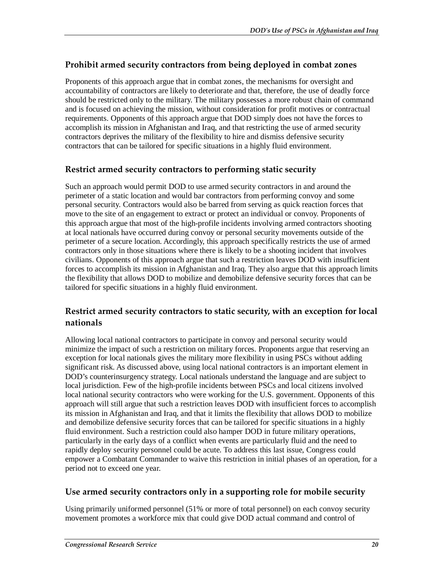#### **Prohibit armed security contractors from being deployed in combat zones**

Proponents of this approach argue that in combat zones, the mechanisms for oversight and accountability of contractors are likely to deteriorate and that, therefore, the use of deadly force should be restricted only to the military. The military possesses a more robust chain of command and is focused on achieving the mission, without consideration for profit motives or contractual requirements. Opponents of this approach argue that DOD simply does not have the forces to accomplish its mission in Afghanistan and Iraq, and that restricting the use of armed security contractors deprives the military of the flexibility to hire and dismiss defensive security contractors that can be tailored for specific situations in a highly fluid environment.

#### **Restrict armed security contractors to performing static security**

Such an approach would permit DOD to use armed security contractors in and around the perimeter of a static location and would bar contractors from performing convoy and some personal security. Contractors would also be barred from serving as quick reaction forces that move to the site of an engagement to extract or protect an individual or convoy. Proponents of this approach argue that most of the high-profile incidents involving armed contractors shooting at local nationals have occurred during convoy or personal security movements outside of the perimeter of a secure location. Accordingly, this approach specifically restricts the use of armed contractors only in those situations where there is likely to be a shooting incident that involves civilians. Opponents of this approach argue that such a restriction leaves DOD with insufficient forces to accomplish its mission in Afghanistan and Iraq. They also argue that this approach limits the flexibility that allows DOD to mobilize and demobilize defensive security forces that can be tailored for specific situations in a highly fluid environment.

#### **Restrict armed security contractors to static security, with an exception for local nationals**

Allowing local national contractors to participate in convoy and personal security would minimize the impact of such a restriction on military forces. Proponents argue that reserving an exception for local nationals gives the military more flexibility in using PSCs without adding significant risk. As discussed above, using local national contractors is an important element in DOD's counterinsurgency strategy. Local nationals understand the language and are subject to local jurisdiction. Few of the high-profile incidents between PSCs and local citizens involved local national security contractors who were working for the U.S. government. Opponents of this approach will still argue that such a restriction leaves DOD with insufficient forces to accomplish its mission in Afghanistan and Iraq, and that it limits the flexibility that allows DOD to mobilize and demobilize defensive security forces that can be tailored for specific situations in a highly fluid environment. Such a restriction could also hamper DOD in future military operations, particularly in the early days of a conflict when events are particularly fluid and the need to rapidly deploy security personnel could be acute. To address this last issue, Congress could empower a Combatant Commander to waive this restriction in initial phases of an operation, for a period not to exceed one year.

#### **Use armed security contractors only in a supporting role for mobile security**

Using primarily uniformed personnel (51% or more of total personnel) on each convoy security movement promotes a workforce mix that could give DOD actual command and control of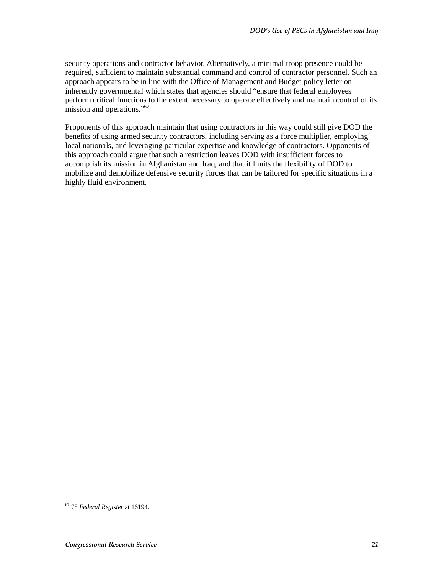security operations and contractor behavior. Alternatively, a minimal troop presence could be required, sufficient to maintain substantial command and control of contractor personnel. Such an approach appears to be in line with the Office of Management and Budget policy letter on inherently governmental which states that agencies should "ensure that federal employees perform critical functions to the extent necessary to operate effectively and maintain control of its mission and operations."<sup>67</sup>

Proponents of this approach maintain that using contractors in this way could still give DOD the benefits of using armed security contractors, including serving as a force multiplier, employing local nationals, and leveraging particular expertise and knowledge of contractors. Opponents of this approach could argue that such a restriction leaves DOD with insufficient forces to accomplish its mission in Afghanistan and Iraq, and that it limits the flexibility of DOD to mobilize and demobilize defensive security forces that can be tailored for specific situations in a highly fluid environment.

<sup>-</sup>67 75 *Federal Register* at 16194.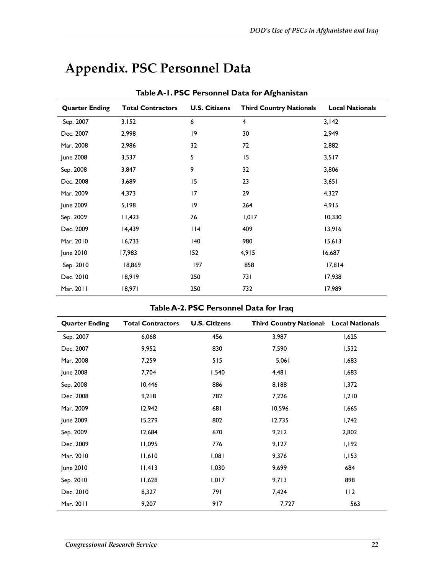| Table A-1. PSC Personnel Data for Afghanistan |                          |                      |                                |                        |
|-----------------------------------------------|--------------------------|----------------------|--------------------------------|------------------------|
| <b>Quarter Ending</b>                         | <b>Total Contractors</b> | <b>U.S. Citizens</b> | <b>Third Country Nationals</b> | <b>Local Nationals</b> |
| Sep. 2007                                     | 3,152                    | 6                    | 4                              | 3,142                  |
| Dec. 2007                                     | 2,998                    | 9                    | 30                             | 2,949                  |
| Mar. 2008                                     | 2,986                    | 32                   | 72                             | 2,882                  |
| June 2008                                     | 3,537                    | 5                    | 15                             | 3,517                  |
| Sep. 2008                                     | 3,847                    | 9                    | 32                             | 3,806                  |
| Dec. 2008                                     | 3,689                    | 15                   | 23                             | 3,651                  |
| Mar. 2009                                     | 4,373                    | 17                   | 29                             | 4,327                  |
| June 2009                                     | 5,198                    | 9                    | 264                            | 4,915                  |
| Sep. 2009                                     | 11,423                   | 76                   | 1,017                          | 10,330                 |
| Dec. 2009                                     | 14,439                   | $ $  4               | 409                            | 13,916                 |
| Mar. 2010                                     | 16,733                   | 140                  | 980                            | 15,613                 |
| June 2010                                     | 17,983                   | 152                  | 4,915                          | 16,687                 |
| Sep. 2010                                     | 18,869                   | 197                  | 858                            | 17,814                 |
| Dec. 2010                                     | 18,919                   | 250                  | 73 I                           | 17,938                 |
| Mar. 2011                                     | 18,971                   | 250                  | 732                            | 17,989                 |

## **Appendix. PSC Personnel Data**

#### **Table A-2. PSC Personnel Data for Iraq**

| <b>Quarter Ending</b> | <b>Total Contractors</b> | <b>U.S. Citizens</b> | Third Country National Local Nationals |       |
|-----------------------|--------------------------|----------------------|----------------------------------------|-------|
| Sep. 2007             | 6,068                    | 456                  | 3,987                                  | 1,625 |
| Dec. 2007             | 9,952                    | 830                  | 7,590                                  | 1,532 |
| Mar. 2008             | 7,259                    | 515                  | 5,061                                  | 1,683 |
| June 2008             | 7,704                    | 1,540                | 4,481                                  | 1,683 |
| Sep. 2008             | 10,446                   | 886                  | 8,188                                  | 1,372 |
| Dec. 2008             | 9,218                    | 782                  | 7,226                                  | 1,210 |
| Mar. 2009             | 12,942                   | 681                  | 10,596                                 | 1,665 |
| June 2009             | 15,279                   | 802                  | 12,735                                 | 1,742 |
| Sep. 2009             | 12,684                   | 670                  | 9,212                                  | 2,802 |
| Dec. 2009             | 11,095                   | 776                  | 9,127                                  | 1,192 |
| Mar. 2010             | 11,610                   | 1,081                | 9,376                                  | 1,153 |
| June 2010             | 11,413                   | 1,030                | 9,699                                  | 684   |
| Sep. 2010             | 11,628                   | 1,017                | 9,713                                  | 898   |
| Dec. 2010             | 8,327                    | 791                  | 7,424                                  | 112   |
| Mar. 2011             | 9,207                    | 917                  | 7,727                                  | 563   |